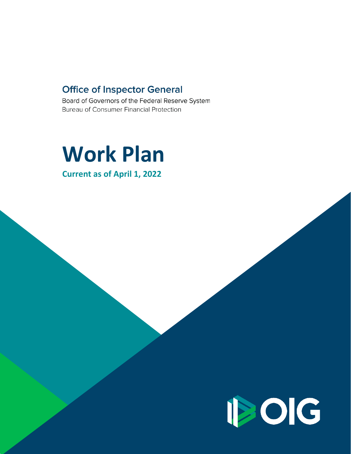## **Office of Inspector General**

Board of Governors of the Federal Reserve System Bureau of Consumer Financial Protection

# **Work Plan**

**Current as of April 1, 2022**

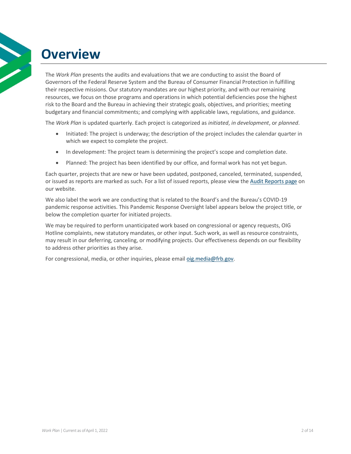## <span id="page-1-0"></span>**Overview**

The *Work Plan* presents the audits and evaluations that we are conducting to assist the Board of Governors of the Federal Reserve System and the Bureau of Consumer Financial Protection in fulfilling their respective missions. Our statutory mandates are our highest priority, and with our remaining resources, we focus on those programs and operations in which potential deficiencies pose the highest risk to the Board and the Bureau in achieving their strategic goals, objectives, and priorities; meeting budgetary and financial commitments; and complying with applicable laws, regulations, and guidance.

The *Work Plan* is updated quarterly. Each project is categorized as *initiated*, *in development*, or *planned*.

- Initiated: The project is underway; the description of the project includes the calendar quarter in which we expect to complete the project.
- In development: The project team is determining the project's scope and completion date.
- Planned: The project has been identified by our office, and formal work has not yet begun.

Each quarter, projects that are new or have been updated, postponed, canceled, terminated, suspended, or issued as reports are marked as such. For a list of issued reports, please view th[e Audit Reports page](http://oig.federalreserve.gov/reports/audit-reports.htm) on our website.

We also label the work we are conducting that is related to the Board's and the Bureau's COVID-19 pandemic response activities. This Pandemic Response Oversight label appears below the project title, or below the completion quarter for initiated projects.

We may be required to perform unanticipated work based on congressional or agency requests, OIG Hotline complaints, new statutory mandates, or other input. Such work, as well as resource constraints, may result in our deferring, canceling, or modifying projects. Our effectiveness depends on our flexibility to address other priorities as they arise.

For congressional, media, or other inquiries, please emai[l oig.media@frb.gov.](mailto:oig.media@frb.gov)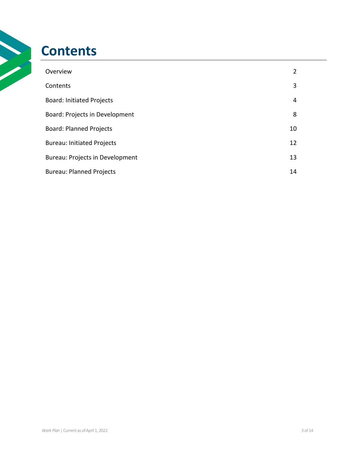## <span id="page-2-0"></span>**Contents**

| Overview                          | $\overline{2}$ |
|-----------------------------------|----------------|
| Contents                          | 3              |
| <b>Board: Initiated Projects</b>  | 4              |
| Board: Projects in Development    | 8              |
| <b>Board: Planned Projects</b>    | 10             |
| <b>Bureau: Initiated Projects</b> | 12             |
| Bureau: Projects in Development   | 13             |
| <b>Bureau: Planned Projects</b>   | 14             |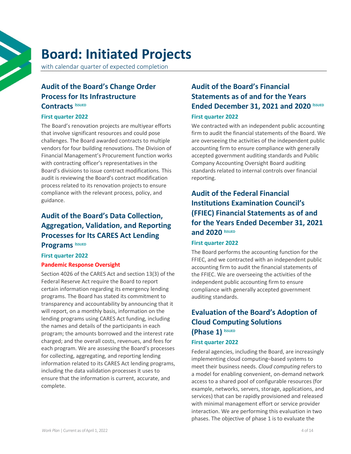## <span id="page-3-0"></span>**Board: Initiated Projects**

with calendar quarter of expected completion

## **[Audit of the Board's Change Order](https://oig.federalreserve.gov/reports/board-contract-modification-process-feb2022.htm)  [Process for Its Infrastructure](https://oig.federalreserve.gov/reports/board-contract-modification-process-feb2022.htm)  [Contracts](https://oig.federalreserve.gov/reports/board-contract-modification-process-feb2022.htm) <sup>I</sup>[SSUED](https://oig.federalreserve.gov/reports/board-contract-modification-process-feb2022.htm)**

#### **First [quarter 2022](https://oig.federalreserve.gov/reports/board-contract-modification-process-feb2022.htm)**

The Board's renovation projects are multiyear efforts that involve significant resources and could pose challenges. The Board awarded contracts to multiple vendors for four building renovations. The Division of Financial Management's Procurement function works with contracting officer's representatives in the Board's divisions to issue contract modifications. This audit is reviewing the Board's contract modification process related to its renovation projects to ensure compliance with the relevant process, policy, and guidance.

#### **Audi[t of the Board's Data](https://oig.federalreserve.gov/reports/board-CARES-act-lending-program-data-feb2022.htm) Collection, [Aggregation, Validation, and Reporting](https://oig.federalreserve.gov/reports/board-CARES-act-lending-program-data-feb2022.htm)  [Processes for Its CARES Act Lending](https://oig.federalreserve.gov/reports/board-CARES-act-lending-program-data-feb2022.htm)  Programs ISSUED**

#### **First [quarter 2022](https://oig.federalreserve.gov/reports/board-CARES-act-lending-program-data-feb2022.htm)**

#### **Pandemic Response Oversight**

Section 4026 of the CARES Act and section 13(3) of the Federal Reserve Act require the Board to report certain information regarding its emergency lending programs. The Board has stated its commitment to transparency and accountability by announcing that it will report, on a monthly basis, information on the lending programs using CARES Act funding, including the names and details of the participants in each program; the amounts borrowed and the interest rate charged; and the overall costs, revenues, and fees for each program. We are assessing the Board's processes for collecting, aggregating, and reporting lending information related to its CARES Act lending programs, including the data validation processes it uses to ensure that the information is current, accurate, and complete.

## **[Audit of the Board's Financial](https://oig.federalreserve.gov/reports/board-financial-statement-audit-mar2022.htm)  [Statements as of and for the Years](https://oig.federalreserve.gov/reports/board-financial-statement-audit-mar2022.htm)  [Ended December 31, 2021 and 2020](https://oig.federalreserve.gov/reports/board-financial-statement-audit-mar2022.htm) <b>ISSUED**

#### **[First quarter 2022](https://oig.federalreserve.gov/reports/board-financial-statement-audit-mar2022.htm)**

We contracted with an independent public accounting firm to audit the financial statements of the Board. We are overseeing the activities of the independent public accounting firm to ensure compliance with generally accepted government auditing standards and Public Company Accounting Oversight Board auditing standards related to internal controls over financial reporting.

## **[Audit of the Federal Financial](https://oig.federalreserve.gov/reports/board-ffiec-financial-statement-audit-mar2022.htm)  In[stitutions Examination Council's](https://oig.federalreserve.gov/reports/board-ffiec-financial-statement-audit-mar2022.htm)  [\(FFIEC\) Financial Statements as of and](https://oig.federalreserve.gov/reports/board-ffiec-financial-statement-audit-mar2022.htm)  [for the Years Ended December 31, 2021](https://oig.federalreserve.gov/reports/board-ffiec-financial-statement-audit-mar2022.htm)  [and 2020](https://oig.federalreserve.gov/reports/board-ffiec-financial-statement-audit-mar2022.htm) <sup>I</sup>SSUED**

#### **[First quarter 2022](https://oig.federalreserve.gov/reports/board-ffiec-financial-statement-audit-mar2022.htm)**

The Board performs the accounting function for the FFIEC, and we contracted with an independent public accounting firm to audit the financial statements of the FFIEC. We are overseeing the activities of the independent public accounting firm to ensure compliance with generally accepted government auditing standards.

#### **[Evaluation of the Board's Adoption of](https://oig.federalreserve.gov/reports/board-cloud-systems-mar2022.htm)  [Cloud Computing Solutions](https://oig.federalreserve.gov/reports/board-cloud-systems-mar2022.htm)  [\(Phase 1\)](https://oig.federalreserve.gov/reports/board-cloud-systems-mar2022.htm) <sup>I</sup>SSUED**

#### **First [quarter 2022](https://oig.federalreserve.gov/reports/board-cloud-systems-mar2022.htm)**

Federal agencies, including the Board, are increasingly implementing cloud computing–based systems to meet their business needs. *Cloud computing* refers to a model for enabling convenient, on-demand network access to a shared pool of configurable resources (for example, networks, servers, storage, applications, and services) that can be rapidly provisioned and released with minimal management effort or service provider interaction. We are performing this evaluation in two phases. The objective of phase 1 is to evaluate the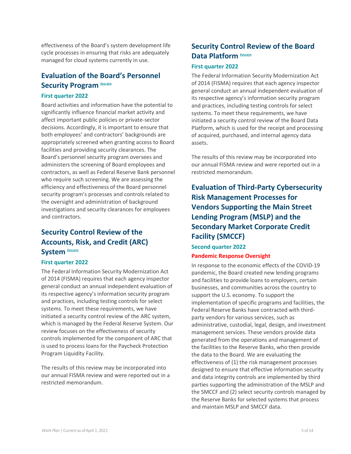effectiveness of the Board's system development life cycle processes in ensuring that risks are adequately managed for cloud systems currently in use.

## **[Evaluation of the Board's Personnel](https://oig.federalreserve.gov/reports/board-personnel-security-program-jan2022.htm)  [Security Program](https://oig.federalreserve.gov/reports/board-personnel-security-program-jan2022.htm) <b>ISSUED**

#### **[First quarter 2022](https://oig.federalreserve.gov/reports/board-personnel-security-program-jan2022.htm)**

Board activities and information have the potential to significantly influence financial market activity and affect important public policies or private-sector decisions. Accordingly, it is important to ensure that both employees' and contractors' backgrounds are appropriately screened when granting access to Board facilities and providing security clearances. The Board's personnel security program oversees and administers the screening of Board employees and contractors, as well as Federal Reserve Bank personnel who require such screening. We are assessing the efficiency and effectiveness of the Board personnel security program's processes and controls related to the oversight and administration of background investigations and security clearances for employees and contractors.

### **Security Control Review of the Accounts, Risk, and Credit (ARC) System ISSUED**

#### **First quarter 2022**

The Federal Information Security Modernization Act of 2014 (FISMA) requires that each agency inspector general conduct an annual independent evaluation of its respective agency's information security program and practices, including testing controls for select systems. To meet these requirements, we have initiated a security control review of the ARC system, which is managed by the Federal Reserve System. Our review focuses on the effectiveness of security controls implemented for the component of ARC that is used to process loans for the Paycheck Protection Program Liquidity Facility.

The results of this review may be incorporated into our annual FISMA review and were reported out in a restricted memorandum.

#### **Security Control Review of the Board Data Platform ISSUED**

#### **First quarter 2022**

The Federal Information Security Modernization Act of 2014 (FISMA) requires that each agency inspector general conduct an annual independent evaluation of its respective agency's information security program and practices, including testing controls for select systems. To meet these requirements, we have initiated a security control review of the Board Data Platform, which is used for the receipt and processing of acquired, purchased, and internal agency data assets.

The results of this review may be incorporated into our annual FISMA review and were reported out in a restricted memorandum.

## **Evaluation of Third-Party Cybersecurity Risk Management Processes for Vendors Supporting the Main Street Lending Program (MSLP) and the Secondary Market Corporate Credit Facility (SMCCF)**

#### **Second quarter 2022 Pandemic Response Oversight**

In response to the economic effects of the COVID-19 pandemic, the Board created new lending programs and facilities to provide loans to employers, certain businesses, and communities across the country to support the U.S. economy. To support the implementation of specific programs and facilities, the Federal Reserve Banks have contracted with thirdparty vendors for various services, such as administrative, custodial, legal, design, and investment management services. These vendors provide data generated from the operations and management of the facilities to the Reserve Banks, who then provide the data to the Board. We are evaluating the effectiveness of (1) the risk management processes designed to ensure that effective information security and data integrity controls are implemented by third parties supporting the administration of the MSLP and the SMCCF and (2) select security controls managed by the Reserve Banks for selected systems that process and maintain MSLP and SMCCF data.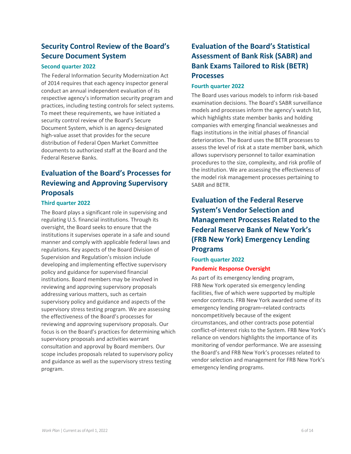### **Security Control Review of the Board's Secure Document System**

#### **Second quarter 2022**

The Federal Information Security Modernization Act of 2014 requires that each agency inspector general conduct an annual independent evaluation of its respective agency's information security program and practices, including testing controls for select systems. To meet these requirements, we have initiated a security control review of the Board's Secure Document System, which is an agency-designated high-value asset that provides for the secure distribution of Federal Open Market Committee documents to authorized staff at the Board and the Federal Reserve Banks.

## **Evaluation of the Board's Processes for Reviewing and Approving Supervisory Proposals**

#### **Third quarter 2022**

The Board plays a significant role in supervising and regulating U.S. financial institutions. Through its oversight, the Board seeks to ensure that the institutions it supervises operate in a safe and sound manner and comply with applicable federal laws and regulations. Key aspects of the Board Division of Supervision and Regulation's mission include developing and implementing effective supervisory policy and guidance for supervised financial institutions. Board members may be involved in reviewing and approving supervisory proposals addressing various matters, such as certain supervisory policy and guidance and aspects of the supervisory stress testing program. We are assessing the effectiveness of the Board's processes for reviewing and approving supervisory proposals. Our focus is on the Board's practices for determining which supervisory proposals and activities warrant consultation and approval by Board members. Our scope includes proposals related to supervisory policy and guidance as well as the supervisory stress testing program.

### **Evaluation of the Board's Statistical Assessment of Bank Risk (SABR) and Bank Exams Tailored to Risk (BETR) Processes**

#### **Fourth quarter 2022**

The Board uses various models to inform risk-based examination decisions. The Board's SABR surveillance models and processes inform the agency's watch list, which highlights state member banks and holding companies with emerging financial weaknesses and flags institutions in the initial phases of financial deterioration. The Board uses the BETR processes to assess the level of risk at a state member bank, which allows supervisory personnel to tailor examination procedures to the size, complexity, and risk profile of the institution. We are assessing the effectiveness of the model risk management processes pertaining to SABR and BETR.

## **Evaluation of the Federal Reserve System's Vendor Selection and Management Processes Related to the Federal Reserve Bank of New York's (FRB New York) Emergency Lending Programs**

#### **Fourth quarter 2022 Pandemic Response Oversight**

As part of its emergency lending program, FRB New York operated six emergency lending facilities, five of which were supported by multiple vendor contracts. FRB New York awarded some of its emergency lending program–related contracts noncompetitively because of the exigent circumstances, and other contracts pose potential conflict-of-interest risks to the System. FRB New York's reliance on vendors highlights the importance of its monitoring of vendor performance. We are assessing the Board's and FRB New York's processes related to vendor selection and management for FRB New York's emergency lending programs.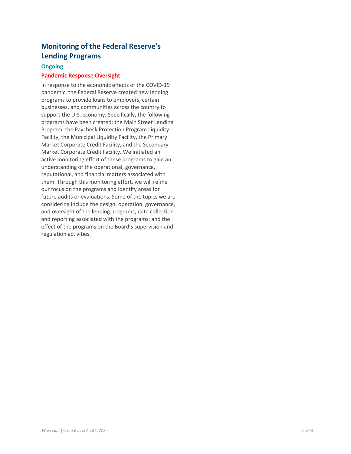## **Monitoring of the Federal Reserve's Lending Programs**

#### **Ongoing**

#### **Pandemic Response Oversight**

In response to the economic effects of the COVID-19 pandemic, the Federal Reserve created new lending programs to provide loans to employers, certain businesses, and communities across the country to support the U.S. economy. Specifically, the following programs have been created: the Main Street Lending Program, the Paycheck Protection Program Liquidity Facility, the Municipal Liquidity Facility, the Primary Market Corporate Credit Facility, and the Secondary Market Corporate Credit Facility. We initiated an active monitoring effort of these programs to gain an understanding of the operational, governance, reputational, and financial matters associated with them. Through this monitoring effort, we will refine our focus on the programs and identify areas for future audits or evaluations. Some of the topics we are considering include the design, operation, governance, and oversight of the lending programs; data collection and reporting associated with the programs; and the effect of the programs on the Board's supervision and regulation activities.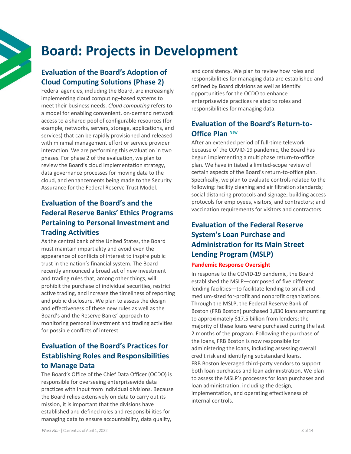## <span id="page-7-0"></span>**Board: Projects in Development**

#### **Evaluation of the Board's Adoption of Cloud Computing Solutions (Phase 2)**

Federal agencies, including the Board, are increasingly implementing cloud computing–based systems to meet their business needs. *Cloud computing* refers to a model for enabling convenient, on-demand network access to a shared pool of configurable resources (for example, networks, servers, storage, applications, and services) that can be rapidly provisioned and released with minimal management effort or service provider interaction. We are performing this evaluation in two phases. For phase 2 of the evaluation, we plan to review the Board's cloud implementation strategy, data governance processes for moving data to the cloud, and enhancements being made to the Security Assurance for the Federal Reserve Trust Model.

## **Evaluation of the Board's and the Federal Reserve Banks' Ethics Programs Pertaining to Personal Investment and Trading Activities**

As the central bank of the United States, the Board must maintain impartiality and avoid even the appearance of conflicts of interest to inspire public trust in the nation's financial system. The Board recently announced a broad set of new investment and trading rules that, among other things, will prohibit the purchase of individual securities, restrict active trading, and increase the timeliness of reporting and public disclosure. We plan to assess the design and effectiveness of these new rules as well as the Board's and the Reserve Banks' approach to monitoring personal investment and trading activities for possible conflicts of interest.

### **Evaluation of the Board's Practices for Establishing Roles and Responsibilities to Manage Data**

The Board's Office of the Chief Data Officer (OCDO) is responsible for overseeing enterprisewide data practices with input from individual divisions. Because the Board relies extensively on data to carry out its mission, it is important that the divisions have established and defined roles and responsibilities for managing data to ensure accountability, data quality,

and consistency. We plan to review how roles and responsibilities for managing data are established and defined by Board divisions as well as identify opportunities for the OCDO to enhance enterprisewide practices related to roles and responsibilities for managing data.

### **Evaluation of the Board's Return-to-Office Plan <sup>N</sup>EW**

After an extended period of full-time telework because of the COVID-19 pandemic, the Board has begun implementing a multiphase return-to-office plan. We have initiated a limited-scope review of certain aspects of the Board's return-to-office plan. Specifically, we plan to evaluate controls related to the following: facility cleaning and air filtration standards; social distancing protocols and signage; building access protocols for employees, visitors, and contractors; and vaccination requirements for visitors and contractors.

## **Evaluation of the Federal Reserve System's Loan Purchase and Administration for Its Main Street Lending Program (MSLP)**

#### **Pandemic Response Oversight**

In response to the COVID-19 pandemic, the Board established the MSLP—composed of five different lending facilities—to facilitate lending to small and medium-sized for-profit and nonprofit organizations. Through the MSLP, the Federal Reserve Bank of Boston (FRB Boston) purchased 1,830 loans amounting to approximately \$17.5 billion from lenders; the majority of these loans were purchased during the last 2 months of the program. Following the purchase of the loans, FRB Boston is now responsible for administering the loans, including assessing overall credit risk and identifying substandard loans. FRB Boston leveraged third-party vendors to support both loan purchases and loan administration. We plan to assess the MSLP's processes for loan purchases and loan administration, including the design, implementation, and operating effectiveness of internal controls.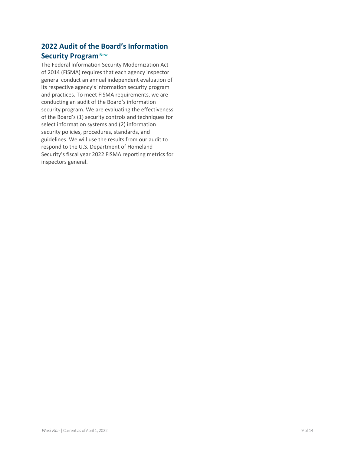### **2022 Audit of the Board's Information Security Program** NEW

The Federal Information Security Modernization Act of 2014 (FISMA) requires that each agency inspector general conduct an annual independent evaluation of its respective agency's information security program and practices. To meet FISMA requirements, we are conducting an audit of the Board's information security program. We are evaluating the effectiveness of the Board's (1) security controls and techniques for select information systems and (2) information security policies, procedures, standards, and guidelines. We will use the results from our audit to respond to the U.S. Department of Homeland Security's fiscal year 2022 FISMA reporting metrics for inspectors general.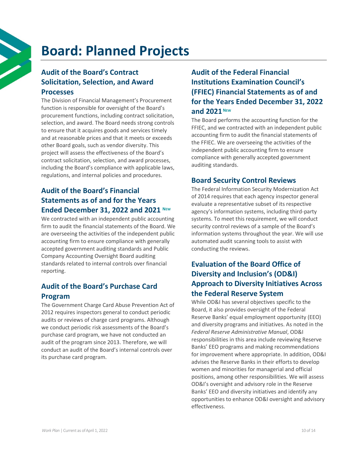## <span id="page-9-0"></span>**Board: Planned Projects**

## **Audit of the Board's Contract Solicitation, Selection, and Award Processes**

The Division of Financial Management's Procurement function is responsible for oversight of the Board's procurement functions, including contract solicitation, selection, and award. The Board needs strong controls to ensure that it acquires goods and services timely and at reasonable prices and that it meets or exceeds other Board goals, such as vendor diversity. This project will assess the effectiveness of the Board's contract solicitation, selection, and award processes, including the Board's compliance with applicable laws, regulations, and internal policies and procedures.

## **Audit of the Board's Financial Statements as of and for the Years Ended December 31, 2022 and 2021 NEW**

We contracted with an independent public accounting firm to audit the financial statements of the Board. We are overseeing the activities of the independent public accounting firm to ensure compliance with generally accepted government auditing standards and Public Company Accounting Oversight Board auditing standards related to internal controls over financial reporting.

## **Audit of the Board's Purchase Card Program**

The Government Charge Card Abuse Prevention Act of 2012 requires inspectors general to conduct periodic audits or reviews of charge card programs. Although we conduct periodic risk assessments of the Board's purchase card program, we have not conducted an audit of the program since 2013. Therefore, we will conduct an audit of the Board's internal controls over its purchase card program.

## **Audit of the Federal Financial Institutions Examination Council's (FFIEC) Financial Statements as of and for the Years Ended December 31, 2022** and 2021<sup>NEW</sup>

The Board performs the accounting function for the FFIEC, and we contracted with an independent public accounting firm to audit the financial statements of the FFIEC. We are overseeing the activities of the independent public accounting firm to ensure compliance with generally accepted government auditing standards.

#### **Board Security Control Reviews**

The Federal Information Security Modernization Act of 2014 requires that each agency inspector general evaluate a representative subset of its respective agency's information systems, including third-party systems. To meet this requirement, we will conduct security control reviews of a sample of the Board's information systems throughout the year. We will use automated audit scanning tools to assist with conducting the reviews.

#### **Evaluation of the Board Office of Diversity and Inclusion's (OD&I) Approach to Diversity Initiatives Across the Federal Reserve System**

While OD&I has several objectives specific to the Board, it also provides oversight of the Federal Reserve Banks' equal employment opportunity (EEO) and diversity programs and initiatives. As noted in the *Federal Reserve Administrative Manual*, OD&I responsibilities in this area include reviewing Reserve Banks' EEO programs and making recommendations for improvement where appropriate. In addition, OD&I advises the Reserve Banks in their efforts to develop women and minorities for managerial and official positions, among other responsibilities. We will assess OD&I's oversight and advisory role in the Reserve Banks' EEO and diversity initiatives and identify any opportunities to enhance OD&I oversight and advisory effectiveness.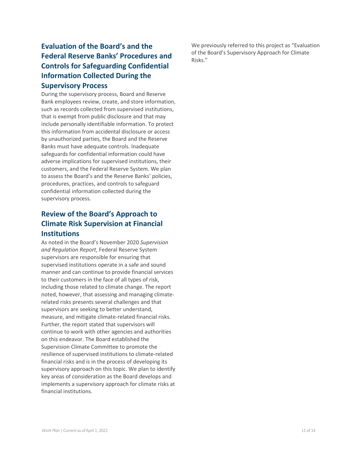### **Evaluation of the Board's and the Federal Reserve Banks' Procedures and Controls for Safeguarding Confidential Information Collected During the Supervisory Process**

During the supervisory process, Board and Reserve Bank employees review, create, and store information, such as records collected from supervised institutions, that is exempt from public disclosure and that may include personally identifiable information. To protect this information from accidental disclosure or access by unauthorized parties, the Board and the Reserve Banks must have adequate controls. Inadequate safeguards for confidential information could have adverse implications for supervised institutions, their customers, and the Federal Reserve System. We plan to assess the Board's and the Reserve Banks' policies, procedures, practices, and controls to safeguard confidential information collected during the supervisory process.

### **Review of the Board's Approach to Climate Risk Supervision at Financial Institutions**

As noted in the Board's November 2020 *Supervision and Regulation Report*, Federal Reserve System supervisors are responsible for ensuring that supervised institutions operate in a safe and sound manner and can continue to provide financial services to their customers in the face of all types of risk, including those related to climate change. The report noted, however, that assessing and managing climaterelated risks presents several challenges and that supervisors are seeking to better understand, measure, and mitigate climate-related financial risks. Further, the report stated that supervisors will continue to work with other agencies and authorities on this endeavor. The Board established the Supervision Climate Committee to promote the resilience of supervised institutions to climate-related financial risks and is in the process of developing its supervisory approach on this topic. We plan to identify key areas of consideration as the Board develops and implements a supervisory approach for climate risks at financial institutions.

We previously referred to this project as "Evaluation of the Board's Supervisory Approach for Climate Risks."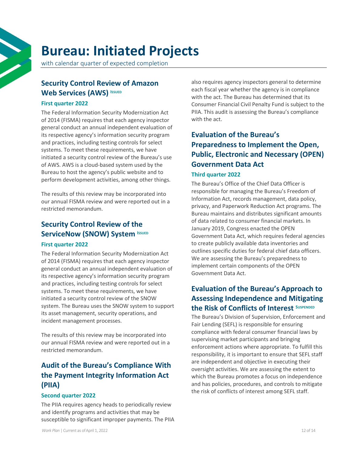## <span id="page-11-0"></span>**Bureau: Initiated Projects**

with calendar quarter of expected completion

#### **Security Control Review of Amazon Web Services (AWS) ISSUED**

#### **First quarter 2022**

The Federal Information Security Modernization Act of 2014 (FISMA) requires that each agency inspector general conduct an annual independent evaluation of its respective agency's information security program and practices, including testing controls for select systems. To meet these requirements, we have initiated a security control review of the Bureau's use of AWS. AWS is a cloud-based system used by the Bureau to host the agency's public website and to perform development activities, among other things.

The results of this review may be incorporated into our annual FISMA review and were reported out in a restricted memorandum.

#### **Security Control Review of the ServiceNow (SNOW) System ISSUED**

#### **First quarter 2022**

The Federal Information Security Modernization Act of 2014 (FISMA) requires that each agency inspector general conduct an annual independent evaluation of its respective agency's information security program and practices, including testing controls for select systems. To meet these requirements, we have initiated a security control review of the SNOW system. The Bureau uses the SNOW system to support its asset management, security operations, and incident management processes.

The results of this review may be incorporated into our annual FISMA review and were reported out in a restricted memorandum.

## **Audit of the Bureau's Compliance With the Payment Integrity Information Act (PIIA)**

#### **Second quarter 2022**

The PIIA requires agency heads to periodically review and identify programs and activities that may be susceptible to significant improper payments. The PIIA

also requires agency inspectors general to determine each fiscal year whether the agency is in compliance with the act. The Bureau has determined that its Consumer Financial Civil Penalty Fund is subject to the PIIA. This audit is assessing the Bureau's compliance with the act.

## **Evaluation of the Bureau's Preparedness to Implement the Open, Public, Electronic and Necessary (OPEN) Government Data Act**

#### **Third quarter 2022**

The Bureau's Office of the Chief Data Officer is responsible for managing the Bureau's Freedom of Information Act, records management, data policy, privacy, and Paperwork Reduction Act programs. The Bureau maintains and distributes significant amounts of data related to consumer financial markets. In January 2019, Congress enacted the OPEN Government Data Act, which requires federal agencies to create publicly available data inventories and outlines specific duties for federal chief data officers. We are assessing the Bureau's preparedness to implement certain components of the OPEN Government Data Act.

### **Evaluation of the Bureau's Approach to Assessing Independence and Mitigating the Risk of Conflicts of Interest <sup>S</sup>USPENDED**

The Bureau's Division of Supervision, Enforcement and Fair Lending (SEFL) is responsible for ensuring compliance with federal consumer financial laws by supervising market participants and bringing enforcement actions where appropriate. To fulfill this responsibility, it is important to ensure that SEFL staff are independent and objective in executing their oversight activities. We are assessing the extent to which the Bureau promotes a focus on independence and has policies, procedures, and controls to mitigate the risk of conflicts of interest among SEFL staff.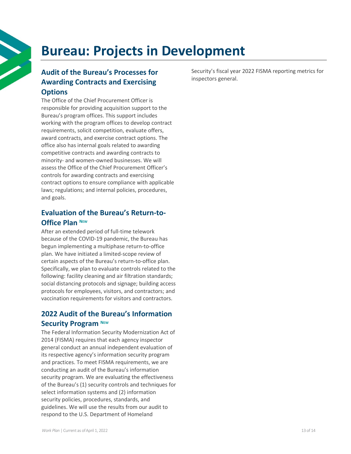## <span id="page-12-0"></span>**Bureau: Projects in Development**

## **Audit of the Bureau's Processes for Awarding Contracts and Exercising Options**

The Office of the Chief Procurement Officer is responsible for providing acquisition support to the Bureau's program offices. This support includes working with the program offices to develop contract requirements, solicit competition, evaluate offers, award contracts, and exercise contract options. The office also has internal goals related to awarding competitive contracts and awarding contracts to minority- and women-owned businesses. We will assess the Office of the Chief Procurement Officer's controls for awarding contracts and exercising contract options to ensure compliance with applicable laws; regulations; and internal policies, procedures, and goals.

#### **Evaluation of the Bureau's Return-to-Office Plan <sup>N</sup>EW**

After an extended period of full-time telework because of the COVID-19 pandemic, the Bureau has begun implementing a multiphase return-to-office plan. We have initiated a limited-scope review of certain aspects of the Bureau's return-to-office plan. Specifically, we plan to evaluate controls related to the following: facility cleaning and air filtration standards; social distancing protocols and signage; building access protocols for employees, visitors, and contractors; and vaccination requirements for visitors and contractors.

#### **2022 Audit of the Bureau's Information Security Program <sup>N</sup>EW**

The Federal Information Security Modernization Act of 2014 (FISMA) requires that each agency inspector general conduct an annual independent evaluation of its respective agency's information security program and practices. To meet FISMA requirements, we are conducting an audit of the Bureau's information security program. We are evaluating the effectiveness of the Bureau's (1) security controls and techniques for select information systems and (2) information security policies, procedures, standards, and guidelines. We will use the results from our audit to respond to the U.S. Department of Homeland

Security's fiscal year 2022 FISMA reporting metrics for inspectors general.